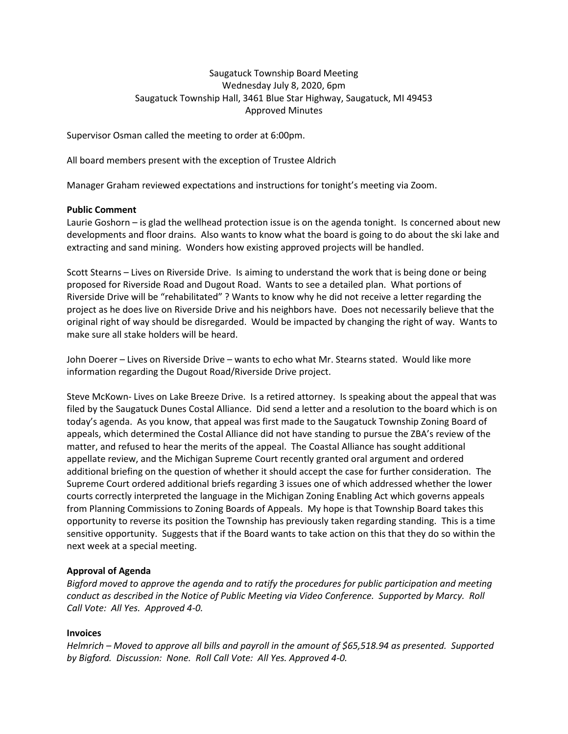# Saugatuck Township Board Meeting Wednesday July 8, 2020, 6pm Saugatuck Township Hall, 3461 Blue Star Highway, Saugatuck, MI 49453 Approved Minutes

Supervisor Osman called the meeting to order at 6:00pm.

All board members present with the exception of Trustee Aldrich

Manager Graham reviewed expectations and instructions for tonight's meeting via Zoom.

#### **Public Comment**

Laurie Goshorn – is glad the wellhead protection issue is on the agenda tonight. Is concerned about new developments and floor drains. Also wants to know what the board is going to do about the ski lake and extracting and sand mining. Wonders how existing approved projects will be handled.

Scott Stearns – Lives on Riverside Drive. Is aiming to understand the work that is being done or being proposed for Riverside Road and Dugout Road. Wants to see a detailed plan. What portions of Riverside Drive will be "rehabilitated" ? Wants to know why he did not receive a letter regarding the project as he does live on Riverside Drive and his neighbors have. Does not necessarily believe that the original right of way should be disregarded. Would be impacted by changing the right of way. Wants to make sure all stake holders will be heard.

John Doerer – Lives on Riverside Drive – wants to echo what Mr. Stearns stated. Would like more information regarding the Dugout Road/Riverside Drive project.

Steve McKown- Lives on Lake Breeze Drive. Is a retired attorney. Is speaking about the appeal that was filed by the Saugatuck Dunes Costal Alliance. Did send a letter and a resolution to the board which is on today's agenda. As you know, that appeal was first made to the Saugatuck Township Zoning Board of appeals, which determined the Costal Alliance did not have standing to pursue the ZBA's review of the matter, and refused to hear the merits of the appeal. The Coastal Alliance has sought additional appellate review, and the Michigan Supreme Court recently granted oral argument and ordered additional briefing on the question of whether it should accept the case for further consideration. The Supreme Court ordered additional briefs regarding 3 issues one of which addressed whether the lower courts correctly interpreted the language in the Michigan Zoning Enabling Act which governs appeals from Planning Commissions to Zoning Boards of Appeals. My hope is that Township Board takes this opportunity to reverse its position the Township has previously taken regarding standing. This is a time sensitive opportunity. Suggests that if the Board wants to take action on this that they do so within the next week at a special meeting.

## **Approval of Agenda**

*Bigford moved to approve the agenda and to ratify the procedures for public participation and meeting conduct as described in the Notice of Public Meeting via Video Conference. Supported by Marcy. Roll Call Vote: All Yes. Approved 4-0.*

#### **Invoices**

*Helmrich – Moved to approve all bills and payroll in the amount of \$65,518.94 as presented. Supported by Bigford. Discussion: None. Roll Call Vote: All Yes. Approved 4-0.*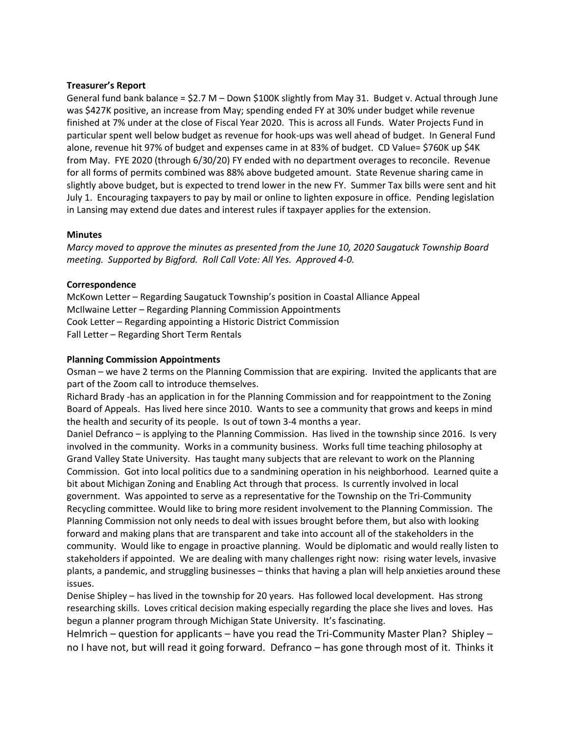## **Treasurer's Report**

General fund bank balance = \$2.7 M – Down \$100K slightly from May 31. Budget v. Actual through June was \$427K positive, an increase from May; spending ended FY at 30% under budget while revenue finished at 7% under at the close of Fiscal Year 2020. This is across all Funds. Water Projects Fund in particular spent well below budget as revenue for hook-ups was well ahead of budget. In General Fund alone, revenue hit 97% of budget and expenses came in at 83% of budget. CD Value= \$760K up \$4K from May. FYE 2020 (through 6/30/20) FY ended with no department overages to reconcile. Revenue for all forms of permits combined was 88% above budgeted amount. State Revenue sharing came in slightly above budget, but is expected to trend lower in the new FY. Summer Tax bills were sent and hit July 1. Encouraging taxpayers to pay by mail or online to lighten exposure in office. Pending legislation in Lansing may extend due dates and interest rules if taxpayer applies for the extension.

#### **Minutes**

*Marcy moved to approve the minutes as presented from the June 10, 2020 Saugatuck Township Board meeting. Supported by Bigford. Roll Call Vote: All Yes. Approved 4-0.*

## **Correspondence**

McKown Letter – Regarding Saugatuck Township's position in Coastal Alliance Appeal McIlwaine Letter – Regarding Planning Commission Appointments Cook Letter – Regarding appointing a Historic District Commission Fall Letter – Regarding Short Term Rentals

## **Planning Commission Appointments**

Osman – we have 2 terms on the Planning Commission that are expiring. Invited the applicants that are part of the Zoom call to introduce themselves.

Richard Brady -has an application in for the Planning Commission and for reappointment to the Zoning Board of Appeals. Has lived here since 2010. Wants to see a community that grows and keeps in mind the health and security of its people. Is out of town 3-4 months a year.

Daniel Defranco – is applying to the Planning Commission. Has lived in the township since 2016. Is very involved in the community. Works in a community business. Works full time teaching philosophy at Grand Valley State University. Has taught many subjects that are relevant to work on the Planning Commission. Got into local politics due to a sandmining operation in his neighborhood. Learned quite a bit about Michigan Zoning and Enabling Act through that process. Is currently involved in local government. Was appointed to serve as a representative for the Township on the Tri-Community Recycling committee. Would like to bring more resident involvement to the Planning Commission. The Planning Commission not only needs to deal with issues brought before them, but also with looking forward and making plans that are transparent and take into account all of the stakeholders in the community. Would like to engage in proactive planning. Would be diplomatic and would really listen to stakeholders if appointed. We are dealing with many challenges right now: rising water levels, invasive plants, a pandemic, and struggling businesses – thinks that having a plan will help anxieties around these issues.

Denise Shipley – has lived in the township for 20 years. Has followed local development. Has strong researching skills. Loves critical decision making especially regarding the place she lives and loves. Has begun a planner program through Michigan State University. It's fascinating.

Helmrich – question for applicants – have you read the Tri-Community Master Plan? Shipley – no I have not, but will read it going forward. Defranco – has gone through most of it. Thinks it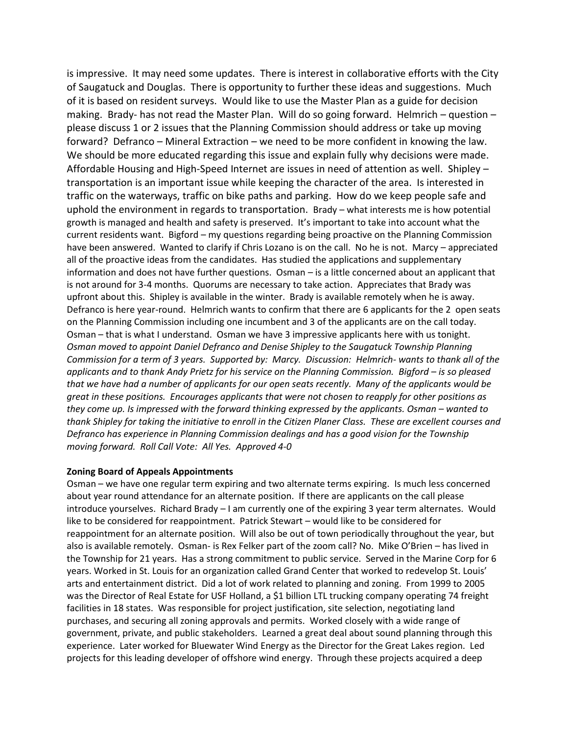is impressive. It may need some updates. There is interest in collaborative efforts with the City of Saugatuck and Douglas. There is opportunity to further these ideas and suggestions. Much of it is based on resident surveys. Would like to use the Master Plan as a guide for decision making. Brady- has not read the Master Plan. Will do so going forward. Helmrich – question – please discuss 1 or 2 issues that the Planning Commission should address or take up moving forward? Defranco – Mineral Extraction – we need to be more confident in knowing the law. We should be more educated regarding this issue and explain fully why decisions were made. Affordable Housing and High-Speed Internet are issues in need of attention as well. Shipley – transportation is an important issue while keeping the character of the area. Is interested in traffic on the waterways, traffic on bike paths and parking. How do we keep people safe and uphold the environment in regards to transportation. Brady – what interests me is how potential growth is managed and health and safety is preserved. It's important to take into account what the current residents want. Bigford – my questions regarding being proactive on the Planning Commission have been answered. Wanted to clarify if Chris Lozano is on the call. No he is not. Marcy – appreciated all of the proactive ideas from the candidates. Has studied the applications and supplementary information and does not have further questions. Osman – is a little concerned about an applicant that is not around for 3-4 months. Quorums are necessary to take action. Appreciates that Brady was upfront about this. Shipley is available in the winter. Brady is available remotely when he is away. Defranco is here year-round. Helmrich wants to confirm that there are 6 applicants for the 2 open seats on the Planning Commission including one incumbent and 3 of the applicants are on the call today. Osman – that is what I understand. Osman we have 3 impressive applicants here with us tonight. *Osman moved to appoint Daniel Defranco and Denise Shipley to the Saugatuck Township Planning Commission for a term of 3 years. Supported by: Marcy. Discussion: Helmrich- wants to thank all of the applicants and to thank Andy Prietz for his service on the Planning Commission. Bigford – is so pleased that we have had a number of applicants for our open seats recently. Many of the applicants would be great in these positions. Encourages applicants that were not chosen to reapply for other positions as they come up. Is impressed with the forward thinking expressed by the applicants. Osman – wanted to thank Shipley for taking the initiative to enroll in the Citizen Planer Class. These are excellent courses and Defranco has experience in Planning Commission dealings and has a good vision for the Township moving forward. Roll Call Vote: All Yes. Approved 4-0*

## **Zoning Board of Appeals Appointments**

Osman – we have one regular term expiring and two alternate terms expiring. Is much less concerned about year round attendance for an alternate position. If there are applicants on the call please introduce yourselves. Richard Brady – I am currently one of the expiring 3 year term alternates. Would like to be considered for reappointment. Patrick Stewart – would like to be considered for reappointment for an alternate position. Will also be out of town periodically throughout the year, but also is available remotely. Osman- is Rex Felker part of the zoom call? No. Mike O'Brien – has lived in the Township for 21 years. Has a strong commitment to public service. Served in the Marine Corp for 6 years. Worked in St. Louis for an organization called Grand Center that worked to redevelop St. Louis' arts and entertainment district. Did a lot of work related to planning and zoning. From 1999 to 2005 was the Director of Real Estate for USF Holland, a \$1 billion LTL trucking company operating 74 freight facilities in 18 states. Was responsible for project justification, site selection, negotiating land purchases, and securing all zoning approvals and permits. Worked closely with a wide range of government, private, and public stakeholders. Learned a great deal about sound planning through this experience. Later worked for Bluewater Wind Energy as the Director for the Great Lakes region. Led projects for this leading developer of offshore wind energy. Through these projects acquired a deep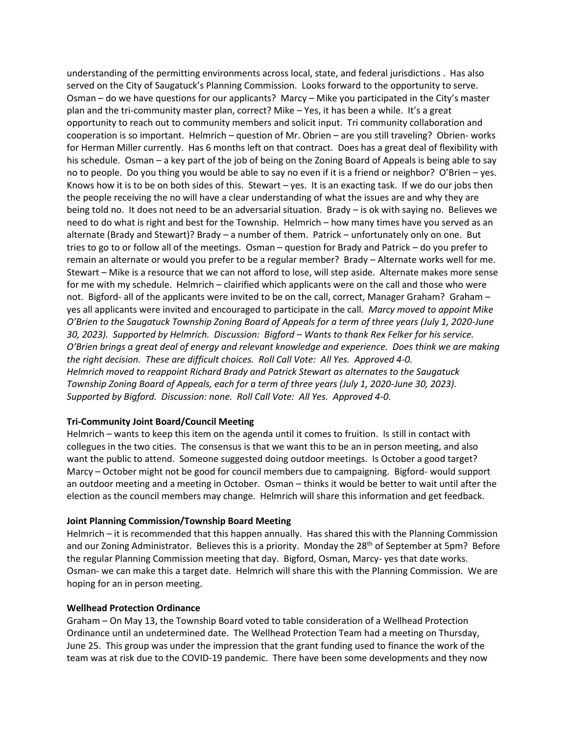understanding of the permitting environments across local, state, and federal jurisdictions . Has also served on the City of Saugatuck's Planning Commission. Looks forward to the opportunity to serve. Osman – do we have questions for our applicants? Marcy – Mike you participated in the City's master plan and the tri-community master plan, correct? Mike – Yes, it has been a while. It's a great opportunity to reach out to community members and solicit input. Tri community collaboration and cooperation is so important. Helmrich – question of Mr. Obrien – are you still traveling? Obrien- works for Herman Miller currently. Has 6 months left on that contract. Does has a great deal of flexibility with his schedule. Osman – a key part of the job of being on the Zoning Board of Appeals is being able to say no to people. Do you thing you would be able to say no even if it is a friend or neighbor? O'Brien – yes. Knows how it is to be on both sides of this. Stewart  $-$  yes. It is an exacting task. If we do our jobs then the people receiving the no will have a clear understanding of what the issues are and why they are being told no. It does not need to be an adversarial situation. Brady – is ok with saying no. Believes we need to do what is right and best for the Township. Helmrich – how many times have you served as an alternate (Brady and Stewart)? Brady – a number of them. Patrick – unfortunately only on one. But tries to go to or follow all of the meetings. Osman – question for Brady and Patrick – do you prefer to remain an alternate or would you prefer to be a regular member? Brady – Alternate works well for me. Stewart – Mike is a resource that we can not afford to lose, will step aside. Alternate makes more sense for me with my schedule. Helmrich – clairified which applicants were on the call and those who were not. Bigford- all of the applicants were invited to be on the call, correct, Manager Graham? Graham – yes all applicants were invited and encouraged to participate in the call. *Marcy moved to appoint Mike O'Brien to the Saugatuck Township Zoning Board of Appeals for a term of three years (July 1, 2020-June 30, 2023). Supported by Helmrich. Discussion: Bigford – Wants to thank Rex Felker for his service. O'Brien brings a great deal of energy and relevant knowledge and experience. Does think we are making the right decision. These are difficult choices. Roll Call Vote: All Yes. Approved 4-0. Helmrich moved to reappoint Richard Brady and Patrick Stewart as alternates to the Saugatuck Township Zoning Board of Appeals, each for a term of three years (July 1, 2020-June 30, 2023). Supported by Bigford. Discussion: none. Roll Call Vote: All Yes. Approved 4-0.* 

#### **Tri-Community Joint Board/Council Meeting**

Helmrich – wants to keep this item on the agenda until it comes to fruition. Is still in contact with collegues in the two cities. The consensus is that we want this to be an in person meeting, and also want the public to attend. Someone suggested doing outdoor meetings. Is October a good target? Marcy – October might not be good for council members due to campaigning. Bigford- would support an outdoor meeting and a meeting in October. Osman – thinks it would be better to wait until after the election as the council members may change. Helmrich will share this information and get feedback.

#### **Joint Planning Commission/Township Board Meeting**

Helmrich – it is recommended that this happen annually. Has shared this with the Planning Commission and our Zoning Administrator. Believes this is a priority. Monday the 28<sup>th</sup> of September at 5pm? Before the regular Planning Commission meeting that day. Bigford, Osman, Marcy- yes that date works. Osman- we can make this a target date. Helmrich will share this with the Planning Commission. We are hoping for an in person meeting.

#### **Wellhead Protection Ordinance**

Graham – On May 13, the Township Board voted to table consideration of a Wellhead Protection Ordinance until an undetermined date. The Wellhead Protection Team had a meeting on Thursday, June 25. This group was under the impression that the grant funding used to finance the work of the team was at risk due to the COVID-19 pandemic. There have been some developments and they now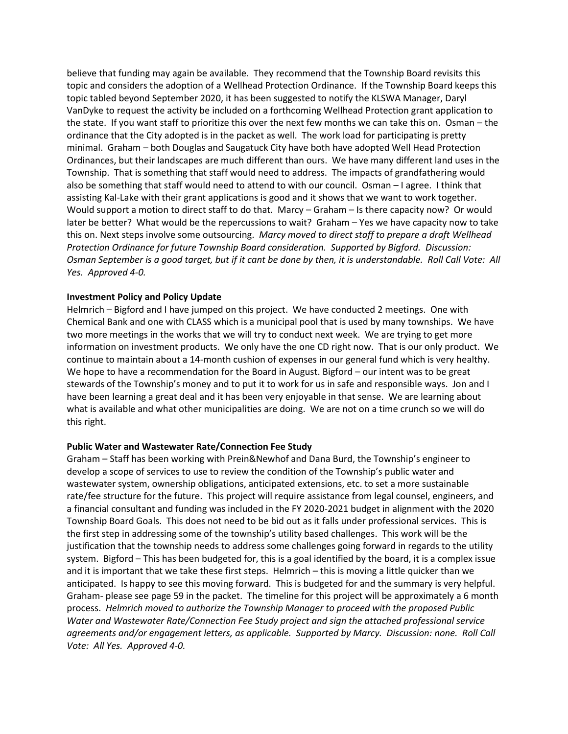believe that funding may again be available. They recommend that the Township Board revisits this topic and considers the adoption of a Wellhead Protection Ordinance. If the Township Board keeps this topic tabled beyond September 2020, it has been suggested to notify the KLSWA Manager, Daryl VanDyke to request the activity be included on a forthcoming Wellhead Protection grant application to the state. If you want staff to prioritize this over the next few months we can take this on. Osman – the ordinance that the City adopted is in the packet as well. The work load for participating is pretty minimal. Graham – both Douglas and Saugatuck City have both have adopted Well Head Protection Ordinances, but their landscapes are much different than ours. We have many different land uses in the Township. That is something that staff would need to address. The impacts of grandfathering would also be something that staff would need to attend to with our council. Osman – I agree. I think that assisting Kal-Lake with their grant applications is good and it shows that we want to work together. Would support a motion to direct staff to do that. Marcy – Graham – Is there capacity now? Or would later be better? What would be the repercussions to wait? Graham – Yes we have capacity now to take this on. Next steps involve some outsourcing. *Marcy moved to direct staff to prepare a draft Wellhead Protection Ordinance for future Township Board consideration. Supported by Bigford. Discussion: Osman September is a good target, but if it cant be done by then, it is understandable. Roll Call Vote: All Yes. Approved 4-0.*

## **Investment Policy and Policy Update**

Helmrich – Bigford and I have jumped on this project. We have conducted 2 meetings. One with Chemical Bank and one with CLASS which is a municipal pool that is used by many townships. We have two more meetings in the works that we will try to conduct next week. We are trying to get more information on investment products. We only have the one CD right now. That is our only product. We continue to maintain about a 14-month cushion of expenses in our general fund which is very healthy. We hope to have a recommendation for the Board in August. Bigford – our intent was to be great stewards of the Township's money and to put it to work for us in safe and responsible ways. Jon and I have been learning a great deal and it has been very enjoyable in that sense. We are learning about what is available and what other municipalities are doing. We are not on a time crunch so we will do this right.

## **Public Water and Wastewater Rate/Connection Fee Study**

Graham – Staff has been working with Prein&Newhof and Dana Burd, the Township's engineer to develop a scope of services to use to review the condition of the Township's public water and wastewater system, ownership obligations, anticipated extensions, etc. to set a more sustainable rate/fee structure for the future. This project will require assistance from legal counsel, engineers, and a financial consultant and funding was included in the FY 2020-2021 budget in alignment with the 2020 Township Board Goals. This does not need to be bid out as it falls under professional services. This is the first step in addressing some of the township's utility based challenges. This work will be the justification that the township needs to address some challenges going forward in regards to the utility system. Bigford – This has been budgeted for, this is a goal identified by the board, it is a complex issue and it is important that we take these first steps. Helmrich – this is moving a little quicker than we anticipated. Is happy to see this moving forward. This is budgeted for and the summary is very helpful. Graham- please see page 59 in the packet. The timeline for this project will be approximately a 6 month process. *Helmrich moved to authorize the Township Manager to proceed with the proposed Public Water and Wastewater Rate/Connection Fee Study project and sign the attached professional service agreements and/or engagement letters, as applicable. Supported by Marcy. Discussion: none. Roll Call Vote: All Yes. Approved 4-0.*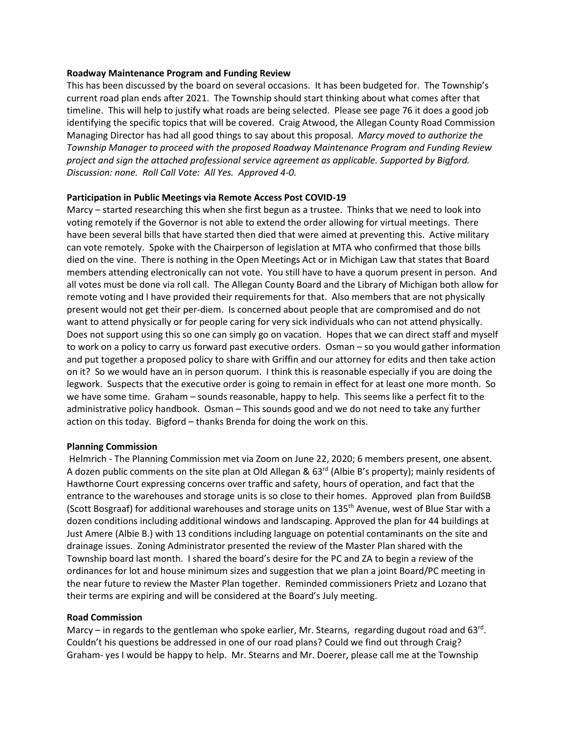#### **Roadway Maintenance Program and Funding Review**

This has been discussed by the board on several occasions. It has been budgeted for. The Township's current road plan ends after 2021. The Township should start thinking about what comes after that timeline. This will help to justify what roads are being selected. Please see page 76 it does a good job identifying the specific topics that will be covered. Craig Atwood, the Allegan County Road Commission Managing Director has had all good things to say about this proposal. *Marcy moved to authorize the Township Manager to proceed with the proposed Roadway Maintenance Program and Funding Review project and sign the attached professional service agreement as applicable. Supported by Bigford. Discussion: none. Roll Call Vote: All Yes. Approved 4-0.*

## **Participation in Public Meetings via Remote Access Post COVID-19**

Marcy – started researching this when she first begun as a trustee. Thinks that we need to look into voting remotely if the Governor is not able to extend the order allowing for virtual meetings. There have been several bills that have started then died that were aimed at preventing this. Active military can vote remotely. Spoke with the Chairperson of legislation at MTA who confirmed that those bills died on the vine. There is nothing in the Open Meetings Act or in Michigan Law that states that Board members attending electronically can not vote. You still have to have a quorum present in person. And all votes must be done via roll call. The Allegan County Board and the Library of Michigan both allow for remote voting and I have provided their requirements for that. Also members that are not physically present would not get their per-diem. Is concerned about people that are compromised and do not want to attend physically or for people caring for very sick individuals who can not attend physically. Does not support using this so one can simply go on vacation. Hopes that we can direct staff and myself to work on a policy to carry us forward past executive orders. Osman – so you would gather information and put together a proposed policy to share with Griffin and our attorney for edits and then take action on it? So we would have an in person quorum. I think this is reasonable especially if you are doing the legwork. Suspects that the executive order is going to remain in effect for at least one more month. So we have some time. Graham – sounds reasonable, happy to help. This seems like a perfect fit to the administrative policy handbook. Osman – This sounds good and we do not need to take any further action on this today. Bigford – thanks Brenda for doing the work on this.

#### **Planning Commission**

Helmrich - The Planning Commission met via Zoom on June 22, 2020; 6 members present, one absent. A dozen public comments on the site plan at Old Allegan &  $63<sup>rd</sup>$  (Albie B's property); mainly residents of Hawthorne Court expressing concerns over traffic and safety, hours of operation, and fact that the entrance to the warehouses and storage units is so close to their homes. Approved plan from BuildSB (Scott Bosgraaf) for additional warehouses and storage units on 135<sup>th</sup> Avenue, west of Blue Star with a dozen conditions including additional windows and landscaping. Approved the plan for 44 buildings at Just Amere (Albie B.) with 13 conditions including language on potential contaminants on the site and drainage issues. Zoning Administrator presented the review of the Master Plan shared with the Township board last month. I shared the board's desire for the PC and ZA to begin a review of the ordinances for lot and house minimum sizes and suggestion that we plan a joint Board/PC meeting in the near future to review the Master Plan together. Reminded commissioners Prietz and Lozano that their terms are expiring and will be considered at the Board's July meeting.

## **Road Commission**

Marcy - in regards to the gentleman who spoke earlier, Mr. Stearns, regarding dugout road and 63rd. Couldn't his questions be addressed in one of our road plans? Could we find out through Craig? Graham- yes I would be happy to help. Mr. Stearns and Mr. Doerer, please call me at the Township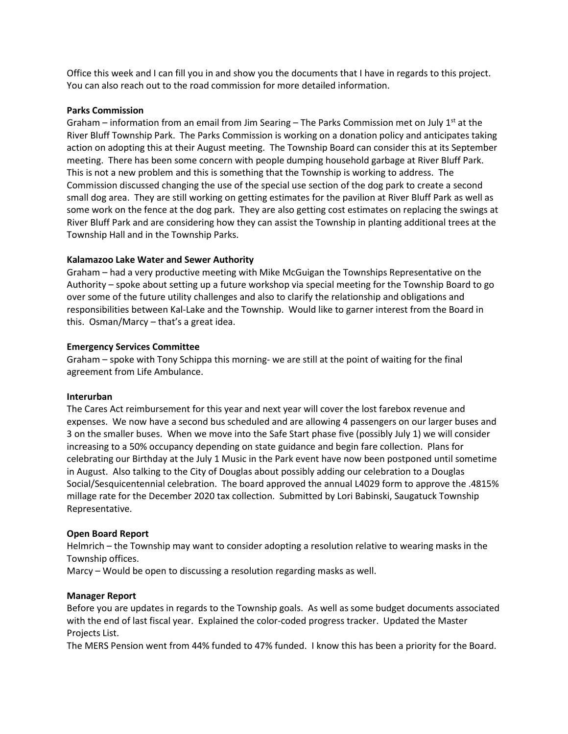Office this week and I can fill you in and show you the documents that I have in regards to this project. You can also reach out to the road commission for more detailed information.

#### **Parks Commission**

Graham – information from an email from Jim Searing – The Parks Commission met on July  $1^{st}$  at the River Bluff Township Park. The Parks Commission is working on a donation policy and anticipates taking action on adopting this at their August meeting. The Township Board can consider this at its September meeting. There has been some concern with people dumping household garbage at River Bluff Park. This is not a new problem and this is something that the Township is working to address. The Commission discussed changing the use of the special use section of the dog park to create a second small dog area. They are still working on getting estimates for the pavilion at River Bluff Park as well as some work on the fence at the dog park. They are also getting cost estimates on replacing the swings at River Bluff Park and are considering how they can assist the Township in planting additional trees at the Township Hall and in the Township Parks.

# **Kalamazoo Lake Water and Sewer Authority**

Graham – had a very productive meeting with Mike McGuigan the Townships Representative on the Authority – spoke about setting up a future workshop via special meeting for the Township Board to go over some of the future utility challenges and also to clarify the relationship and obligations and responsibilities between Kal-Lake and the Township. Would like to garner interest from the Board in this. Osman/Marcy – that's a great idea.

## **Emergency Services Committee**

Graham – spoke with Tony Schippa this morning- we are still at the point of waiting for the final agreement from Life Ambulance.

## **Interurban**

The Cares Act reimbursement for this year and next year will cover the lost farebox revenue and expenses. We now have a second bus scheduled and are allowing 4 passengers on our larger buses and 3 on the smaller buses. When we move into the Safe Start phase five (possibly July 1) we will consider increasing to a 50% occupancy depending on state guidance and begin fare collection. Plans for celebrating our Birthday at the July 1 Music in the Park event have now been postponed until sometime in August. Also talking to the City of Douglas about possibly adding our celebration to a Douglas Social/Sesquicentennial celebration. The board approved the annual L4029 form to approve the .4815% millage rate for the December 2020 tax collection. Submitted by Lori Babinski, Saugatuck Township Representative.

## **Open Board Report**

Helmrich – the Township may want to consider adopting a resolution relative to wearing masks in the Township offices.

Marcy – Would be open to discussing a resolution regarding masks as well.

## **Manager Report**

Before you are updates in regards to the Township goals. As well as some budget documents associated with the end of last fiscal year. Explained the color-coded progress tracker. Updated the Master Projects List.

The MERS Pension went from 44% funded to 47% funded. I know this has been a priority for the Board.